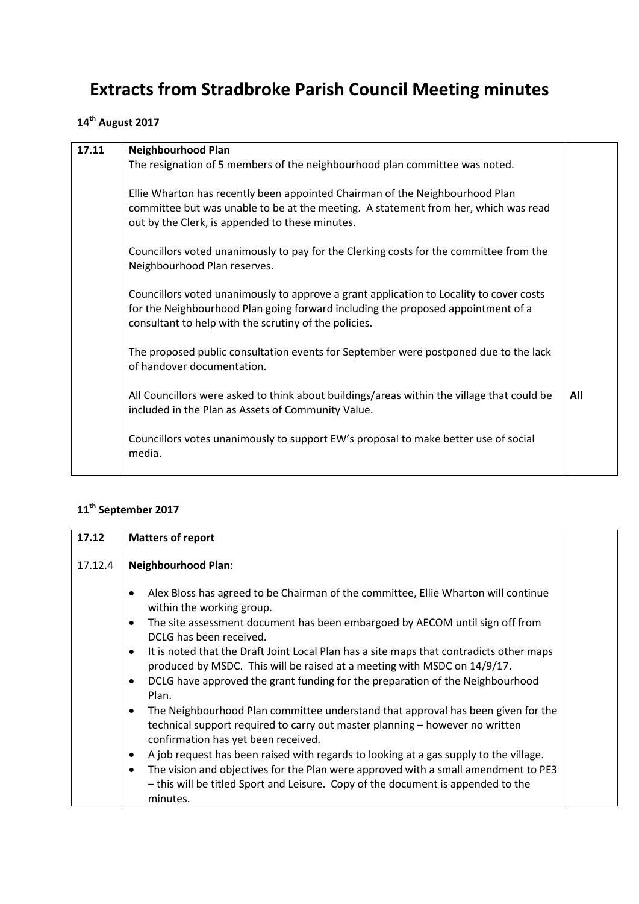# **Extracts from Stradbroke Parish Council Meeting minutes**

## **14th August 2017**

| 17.11 | <b>Neighbourhood Plan</b>                                                                                                                                                                                                            |     |
|-------|--------------------------------------------------------------------------------------------------------------------------------------------------------------------------------------------------------------------------------------|-----|
|       | The resignation of 5 members of the neighbourhood plan committee was noted.                                                                                                                                                          |     |
|       | Ellie Wharton has recently been appointed Chairman of the Neighbourhood Plan<br>committee but was unable to be at the meeting. A statement from her, which was read<br>out by the Clerk, is appended to these minutes.               |     |
|       | Councillors voted unanimously to pay for the Clerking costs for the committee from the<br>Neighbourhood Plan reserves.                                                                                                               |     |
|       | Councillors voted unanimously to approve a grant application to Locality to cover costs<br>for the Neighbourhood Plan going forward including the proposed appointment of a<br>consultant to help with the scrutiny of the policies. |     |
|       | The proposed public consultation events for September were postponed due to the lack<br>of handover documentation.                                                                                                                   |     |
|       | All Councillors were asked to think about buildings/areas within the village that could be<br>included in the Plan as Assets of Community Value.                                                                                     | All |
|       | Councillors votes unanimously to support EW's proposal to make better use of social<br>media.                                                                                                                                        |     |

## **11th September 2017**

| 17.12   | <b>Matters of report</b>                                                                                                                                                                                                  |  |
|---------|---------------------------------------------------------------------------------------------------------------------------------------------------------------------------------------------------------------------------|--|
| 17.12.4 | <b>Neighbourhood Plan:</b>                                                                                                                                                                                                |  |
|         | Alex Bloss has agreed to be Chairman of the committee, Ellie Wharton will continue<br>$\bullet$<br>within the working group.<br>The site assessment document has been embargoed by AECOM until sign off from<br>$\bullet$ |  |
|         | DCLG has been received.                                                                                                                                                                                                   |  |
|         | It is noted that the Draft Joint Local Plan has a site maps that contradicts other maps<br>$\bullet$<br>produced by MSDC. This will be raised at a meeting with MSDC on 14/9/17.                                          |  |
|         | DCLG have approved the grant funding for the preparation of the Neighbourhood<br>$\bullet$<br>Plan.                                                                                                                       |  |
|         | The Neighbourhood Plan committee understand that approval has been given for the<br>$\bullet$<br>technical support required to carry out master planning – however no written<br>confirmation has yet been received.      |  |
|         | A job request has been raised with regards to looking at a gas supply to the village.<br>$\bullet$                                                                                                                        |  |
|         | The vision and objectives for the Plan were approved with a small amendment to PE3<br>$\bullet$<br>- this will be titled Sport and Leisure. Copy of the document is appended to the<br>minutes.                           |  |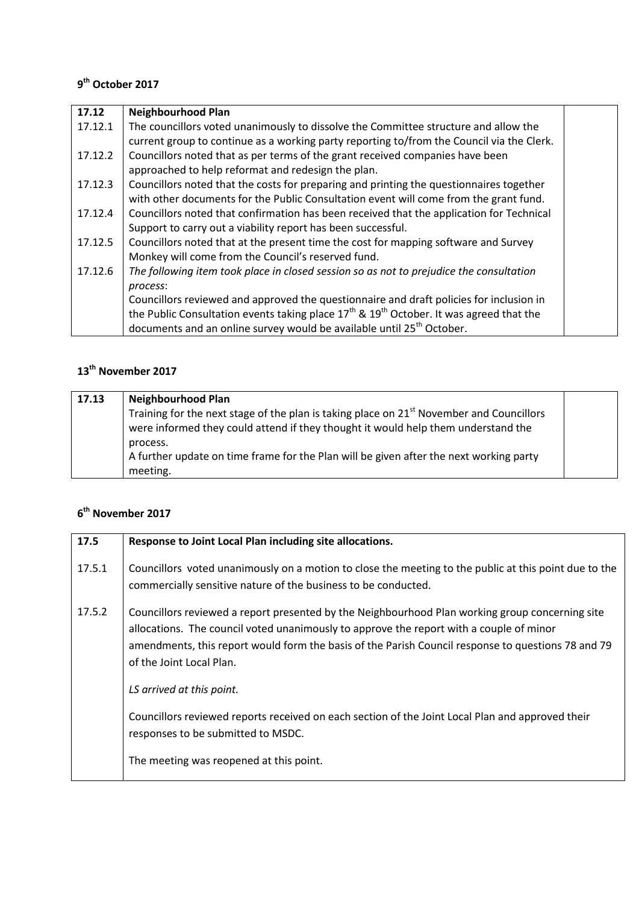#### **9 th October 2017**

| 17.12   | <b>Neighbourhood Plan</b>                                                                         |  |
|---------|---------------------------------------------------------------------------------------------------|--|
| 17.12.1 | The councillors voted unanimously to dissolve the Committee structure and allow the               |  |
|         | current group to continue as a working party reporting to/from the Council via the Clerk.         |  |
| 17.12.2 | Councillors noted that as per terms of the grant received companies have been                     |  |
|         | approached to help reformat and redesign the plan.                                                |  |
| 17.12.3 | Councillors noted that the costs for preparing and printing the questionnaires together           |  |
|         | with other documents for the Public Consultation event will come from the grant fund.             |  |
| 17.12.4 | Councillors noted that confirmation has been received that the application for Technical          |  |
|         | Support to carry out a viability report has been successful.                                      |  |
| 17.12.5 | Councillors noted that at the present time the cost for mapping software and Survey               |  |
|         | Monkey will come from the Council's reserved fund.                                                |  |
| 17.12.6 | The following item took place in closed session so as not to prejudice the consultation           |  |
|         | process:                                                                                          |  |
|         | Councillors reviewed and approved the questionnaire and draft policies for inclusion in           |  |
|         | the Public Consultation events taking place $17^{th}$ & $19^{th}$ October. It was agreed that the |  |
|         | documents and an online survey would be available until 25 <sup>th</sup> October.                 |  |

## **13th November 2017**

| 17.13 | <b>Neighbourhood Plan</b>                                                                  |  |
|-------|--------------------------------------------------------------------------------------------|--|
|       | Training for the next stage of the plan is taking place on $21st$ November and Councillors |  |
|       | were informed they could attend if they thought it would help them understand the          |  |
|       | process.                                                                                   |  |
|       | A further update on time frame for the Plan will be given after the next working party     |  |
|       | meeting.                                                                                   |  |

#### **6 th November 2017**

| 17.5   | Response to Joint Local Plan including site allocations.                                                                                                                                                                                                                                                                     |
|--------|------------------------------------------------------------------------------------------------------------------------------------------------------------------------------------------------------------------------------------------------------------------------------------------------------------------------------|
| 17.5.1 | Councillors voted unanimously on a motion to close the meeting to the public at this point due to the<br>commercially sensitive nature of the business to be conducted.                                                                                                                                                      |
| 17.5.2 | Councillors reviewed a report presented by the Neighbourhood Plan working group concerning site<br>allocations. The council voted unanimously to approve the report with a couple of minor<br>amendments, this report would form the basis of the Parish Council response to questions 78 and 79<br>of the Joint Local Plan. |
|        | LS arrived at this point.                                                                                                                                                                                                                                                                                                    |
|        | Councillors reviewed reports received on each section of the Joint Local Plan and approved their<br>responses to be submitted to MSDC.                                                                                                                                                                                       |
|        | The meeting was reopened at this point.                                                                                                                                                                                                                                                                                      |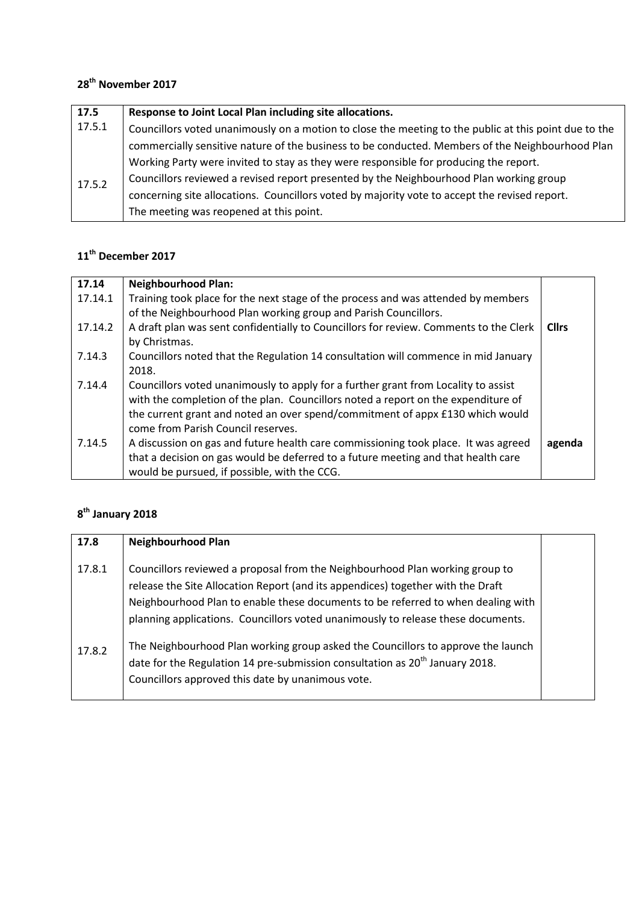## **28th November 2017**

| 17.5   | Response to Joint Local Plan including site allocations.                                              |
|--------|-------------------------------------------------------------------------------------------------------|
| 17.5.1 | Councillors voted unanimously on a motion to close the meeting to the public at this point due to the |
|        | commercially sensitive nature of the business to be conducted. Members of the Neighbourhood Plan      |
|        | Working Party were invited to stay as they were responsible for producing the report.                 |
| 17.5.2 | Councillors reviewed a revised report presented by the Neighbourhood Plan working group               |
|        | concerning site allocations. Councillors voted by majority vote to accept the revised report.         |
|        | The meeting was reopened at this point.                                                               |

## **11th December 2017**

| 17.14   | <b>Neighbourhood Plan:</b>                                                            |              |
|---------|---------------------------------------------------------------------------------------|--------------|
| 17.14.1 | Training took place for the next stage of the process and was attended by members     |              |
|         | of the Neighbourhood Plan working group and Parish Councillors.                       |              |
| 17.14.2 | A draft plan was sent confidentially to Councillors for review. Comments to the Clerk | <b>Cllrs</b> |
|         | by Christmas.                                                                         |              |
| 7.14.3  | Councillors noted that the Regulation 14 consultation will commence in mid January    |              |
|         | 2018.                                                                                 |              |
| 7.14.4  | Councillors voted unanimously to apply for a further grant from Locality to assist    |              |
|         | with the completion of the plan. Councillors noted a report on the expenditure of     |              |
|         | the current grant and noted an over spend/commitment of appx £130 which would         |              |
|         | come from Parish Council reserves.                                                    |              |
| 7.14.5  | A discussion on gas and future health care commissioning took place. It was agreed    | agenda       |
|         | that a decision on gas would be deferred to a future meeting and that health care     |              |
|         | would be pursued, if possible, with the CCG.                                          |              |

#### **8 th January 2018**

| 17.8   | <b>Neighbourhood Plan</b>                                                                                                                                                                                                                                                                                                               |
|--------|-----------------------------------------------------------------------------------------------------------------------------------------------------------------------------------------------------------------------------------------------------------------------------------------------------------------------------------------|
| 17.8.1 | Councillors reviewed a proposal from the Neighbourhood Plan working group to<br>release the Site Allocation Report (and its appendices) together with the Draft<br>Neighbourhood Plan to enable these documents to be referred to when dealing with<br>planning applications. Councillors voted unanimously to release these documents. |
| 17.8.2 | The Neighbourhood Plan working group asked the Councillors to approve the launch<br>date for the Regulation 14 pre-submission consultation as $20th$ January 2018.<br>Councillors approved this date by unanimous vote.                                                                                                                 |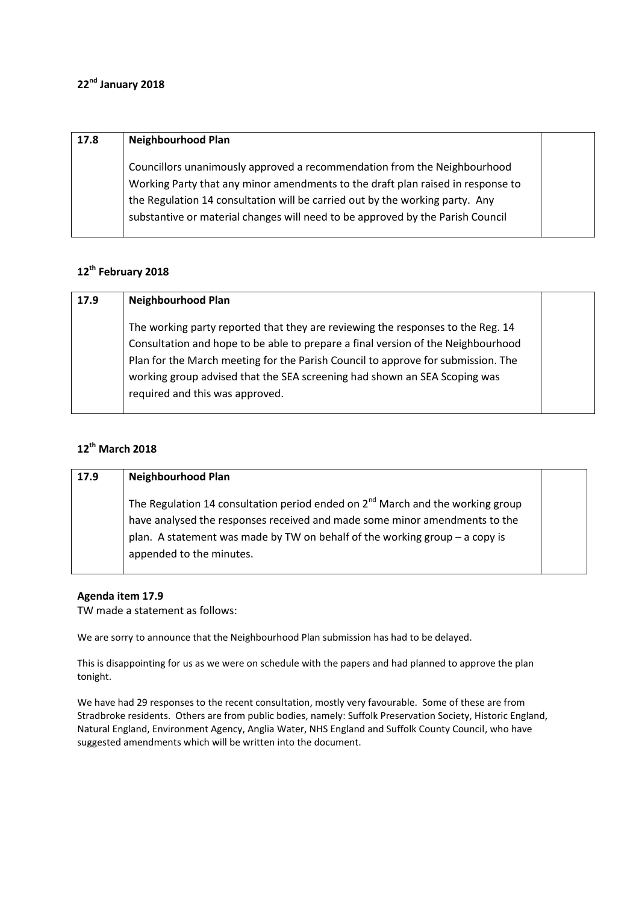### **22nd January 2018**

| 17.8 | <b>Neighbourhood Plan</b>                                                       |
|------|---------------------------------------------------------------------------------|
|      | Councillors unanimously approved a recommendation from the Neighbourhood        |
|      | Working Party that any minor amendments to the draft plan raised in response to |
|      | the Regulation 14 consultation will be carried out by the working party. Any    |
|      | substantive or material changes will need to be approved by the Parish Council  |

## **12th February 2018**

| 17.9 | <b>Neighbourhood Plan</b>                                                                                                                                                                                                                                                                                                                                               |  |
|------|-------------------------------------------------------------------------------------------------------------------------------------------------------------------------------------------------------------------------------------------------------------------------------------------------------------------------------------------------------------------------|--|
|      | The working party reported that they are reviewing the responses to the Reg. 14<br>Consultation and hope to be able to prepare a final version of the Neighbourhood<br>Plan for the March meeting for the Parish Council to approve for submission. The<br>working group advised that the SEA screening had shown an SEA Scoping was<br>required and this was approved. |  |

#### **12th March 2018**

| 17.9 | <b>Neighbourhood Plan</b>                                                                                                                                                                                                                                                      |  |
|------|--------------------------------------------------------------------------------------------------------------------------------------------------------------------------------------------------------------------------------------------------------------------------------|--|
|      | The Regulation 14 consultation period ended on $2^{nd}$ March and the working group<br>have analysed the responses received and made some minor amendments to the<br>plan. A statement was made by TW on behalf of the working group $-$ a copy is<br>appended to the minutes. |  |

#### **Agenda item 17.9**

TW made a statement as follows:

We are sorry to announce that the Neighbourhood Plan submission has had to be delayed.

This is disappointing for us as we were on schedule with the papers and had planned to approve the plan tonight.

We have had 29 responses to the recent consultation, mostly very favourable. Some of these are from Stradbroke residents. Others are from public bodies, namely: Suffolk Preservation Society, Historic England, Natural England, Environment Agency, Anglia Water, NHS England and Suffolk County Council, who have suggested amendments which will be written into the document.